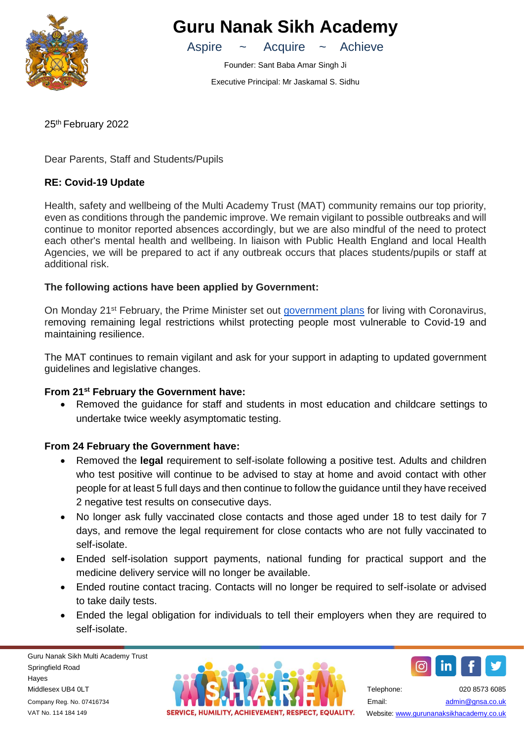

# **Guru Nanak Sikh Academy**

Aspire ~ Acquire ~ Achieve

Founder: Sant Baba Amar Singh Ji Executive Principal: Mr Jaskamal S. Sidhu

25th February 2022

Dear Parents, Staff and Students/Pupils

## **RE: Covid-19 Update**

Health, safety and wellbeing of the Multi Academy Trust (MAT) community remains our top priority, even as conditions through the pandemic improve. We remain vigilant to possible outbreaks and will continue to monitor reported absences accordingly, but we are also mindful of the need to protect each other's mental health and wellbeing. In liaison with Public Health England and local Health Agencies, we will be prepared to act if any outbreak occurs that places students/pupils or staff at additional risk.

## **The following actions have been applied by Government:**

On Monday 21st February, the Prime Minister set out [government](https://www.gov.uk/government/publications/covid-19-response-living-with-covid-19) plans for living with Coronavirus, removing remaining legal restrictions whilst protecting people most vulnerable to Covid-19 and maintaining resilience.

The MAT continues to remain vigilant and ask for your support in adapting to updated government guidelines and legislative changes.

### **From 21 st February the Government have:**

• Removed the guidance for staff and students in most education and childcare settings to undertake twice weekly asymptomatic testing.

## **From 24 February the Government have:**

- Removed the **legal** requirement to self-isolate following a positive test. Adults and children who test positive will continue to be advised to stay at home and avoid contact with other people for at least 5 full days and then continue to follow the guidance until they have received 2 negative test results on consecutive days.
- No longer ask fully vaccinated close contacts and those aged under 18 to test daily for 7 days, and remove the legal requirement for close contacts who are not fully vaccinated to self-isolate.
- Ended self-isolation support payments, national funding for practical support and the medicine delivery service will no longer be available.
- Ended routine contact tracing. Contacts will no longer be required to self-isolate or advised to take daily tests.
- Ended the legal obligation for individuals to tell their employers when they are required to self-isolate.

Guru Nanak Sikh Multi Academy Trust Springfield Road Hayes Middlesex UB4 0LT Company Reg. No. 07416734 VAT No. 114 184 149





Telephone: 020 8573 6085 Email: [admin@gnsa.co.uk](mailto:admin@gnsa.co.uk)  Website[: www.gurunanaksikhacademy.co.uk](http://www.gurunanaksikhacademy.co.uk/)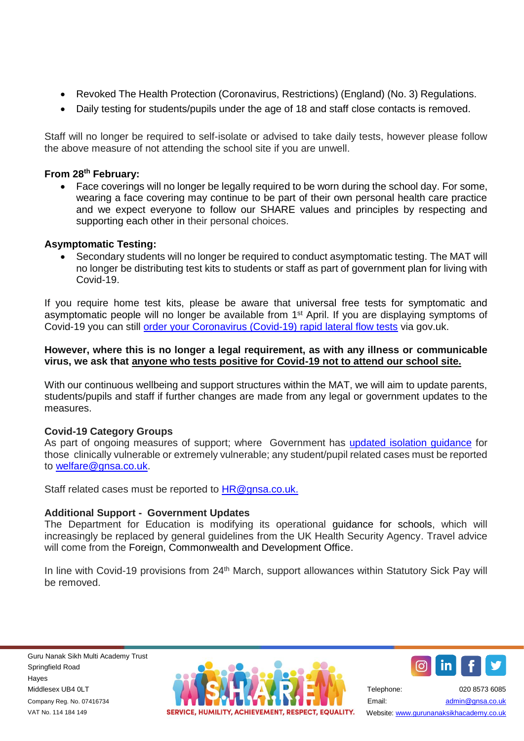- Revoked The Health Protection (Coronavirus, Restrictions) (England) (No. 3) Regulations.
- Daily testing for students/pupils under the age of 18 and staff close contacts is removed.

Staff will no longer be required to self-isolate or advised to take daily tests, however please follow the above measure of not attending the school site if you are unwell.

## **From 28th February:**

• Face coverings will no longer be legally required to be worn during the school day. For some, wearing a face covering may continue to be part of their own personal health care practice and we expect everyone to follow our SHARE values and principles by respecting and supporting each other in their personal choices.

#### **Asymptomatic Testing:**

• Secondary students will no longer be required to conduct asymptomatic testing. The MAT will no longer be distributing test kits to students or staff as part of government plan for living with Covid-19.

If you require home test kits, please be aware that universal free tests for symptomatic and asymptomatic people will no longer be available from 1st April. If you are displaying symptoms of Covid-19 you can still [order your Coronavirus \(Covid-19\) rapid lateral flow tests](https://www.gov.uk/order-coronavirus-rapid-lateral-flow-tests) via gov.uk.

#### **However, where this is no longer a legal requirement, as with any illness or communicable virus, we ask that anyone who tests positive for Covid-19 not to attend our school site.**

With our continuous wellbeing and support structures within the MAT, we will aim to update parents, students/pupils and staff if further changes are made from any legal or government updates to the measures.

#### **Covid-19 Category Groups**

As part of ongoing measures of support; where Government has [updated isolation guidance](https://www.gov.uk/government/publications/guidance-on-shielding-and-protecting-extremely-vulnerable-persons-from-covid-19) for those clinically vulnerable or extremely vulnerable; any student/pupil related cases must be reported to [welfare@gnsa.co.uk.](mailto:welfare@gnsa.co.uk)

Staff related cases must be reported to [HR@gnsa.co.uk.](mailto:HR@gnsa.co.uk)

#### **Additional Support - Government Updates**

The Department for Education is modifying its operational guidance for schools, which will increasingly be replaced by general guidelines from the UK Health Security Agency. Travel advice will come from the Foreign, Commonwealth and Development Office.

In line with Covid-19 provisions from 24<sup>th</sup> March, support allowances within Statutory Sick Pay will be removed.





Telephone: 020 8573 6085 Email: [admin@gnsa.co.uk](mailto:admin@gnsa.co.uk)  Website: www.gurunanaksikhacademy.co.uk